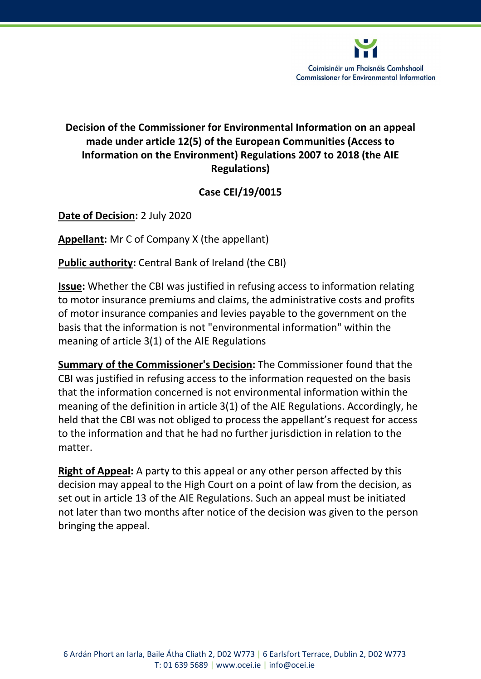

Coimisinéir um Fhaisnéis Comhshaoil **Commissioner for Environmental Information** 

# Decision of the Commissioner for Environmental Information on an appeal made under article 12(5) of the European Communities (Access to Information on the Environment) Regulations 2007 to 2018 (the AIE Regulations)

# Case CEI/19/0015

Date of Decision: 2 July 2020

Appellant: Mr C of Company X (the appellant)

Public authority: Central Bank of Ireland (the CBI)

Issue: Whether the CBI was justified in refusing access to information relating to motor insurance premiums and claims, the administrative costs and profits of motor insurance companies and levies payable to the government on the basis that the information is not "environmental information" within the meaning of article 3(1) of the AIE Regulations

Summary of the Commissioner's Decision: The Commissioner found that the CBI was justified in refusing access to the information requested on the basis that the information concerned is not environmental information within the meaning of the definition in article 3(1) of the AIE Regulations. Accordingly, he held that the CBI was not obliged to process the appellant's request for access to the information and that he had no further jurisdiction in relation to the matter.

Right of Appeal: A party to this appeal or any other person affected by this decision may appeal to the High Court on a point of law from the decision, as set out in article 13 of the AIE Regulations. Such an appeal must be initiated not later than two months after notice of the decision was given to the person bringing the appeal.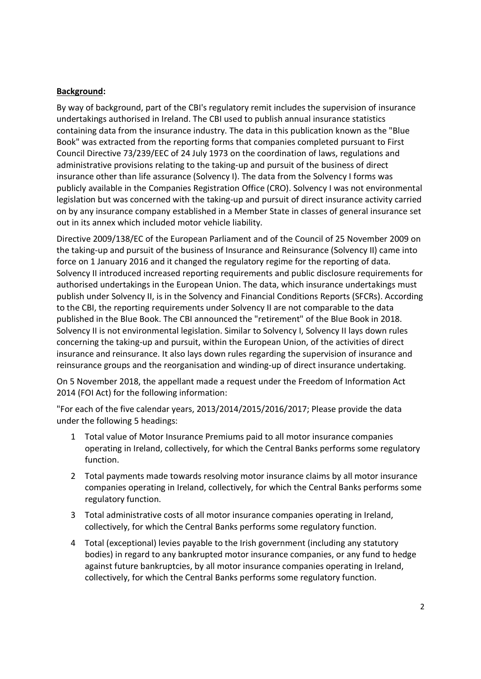### Background:

By way of background, part of the CBI's regulatory remit includes the supervision of insurance undertakings authorised in Ireland. The CBI used to publish annual insurance statistics containing data from the insurance industry. The data in this publication known as the "Blue Book" was extracted from the reporting forms that companies completed pursuant to First Council Directive 73/239/EEC of 24 July 1973 on the coordination of laws, regulations and administrative provisions relating to the taking-up and pursuit of the business of direct insurance other than life assurance (Solvency I). The data from the Solvency I forms was publicly available in the Companies Registration Office (CRO). Solvency I was not environmental legislation but was concerned with the taking-up and pursuit of direct insurance activity carried on by any insurance company established in a Member State in classes of general insurance set out in its annex which included motor vehicle liability.

Directive 2009/138/EC of the European Parliament and of the Council of 25 November 2009 on the taking-up and pursuit of the business of Insurance and Reinsurance (Solvency II) came into force on 1 January 2016 and it changed the regulatory regime for the reporting of data. Solvency II introduced increased reporting requirements and public disclosure requirements for authorised undertakings in the European Union. The data, which insurance undertakings must publish under Solvency II, is in the Solvency and Financial Conditions Reports (SFCRs). According to the CBI, the reporting requirements under Solvency II are not comparable to the data published in the Blue Book. The CBI announced the "retirement" of the Blue Book in 2018. Solvency II is not environmental legislation. Similar to Solvency I, Solvency II lays down rules concerning the taking-up and pursuit, within the European Union, of the activities of direct insurance and reinsurance. It also lays down rules regarding the supervision of insurance and reinsurance groups and the reorganisation and winding-up of direct insurance undertaking.

On 5 November 2018, the appellant made a request under the Freedom of Information Act 2014 (FOI Act) for the following information:

"For each of the five calendar years, 2013/2014/2015/2016/2017; Please provide the data under the following 5 headings:

- 1 Total value of Motor Insurance Premiums paid to all motor insurance companies operating in Ireland, collectively, for which the Central Banks performs some regulatory function.
- 2 Total payments made towards resolving motor insurance claims by all motor insurance companies operating in Ireland, collectively, for which the Central Banks performs some regulatory function.
- 3 Total administrative costs of all motor insurance companies operating in Ireland, collectively, for which the Central Banks performs some regulatory function.
- 4 Total (exceptional) levies payable to the Irish government (including any statutory bodies) in regard to any bankrupted motor insurance companies, or any fund to hedge against future bankruptcies, by all motor insurance companies operating in Ireland, collectively, for which the Central Banks performs some regulatory function.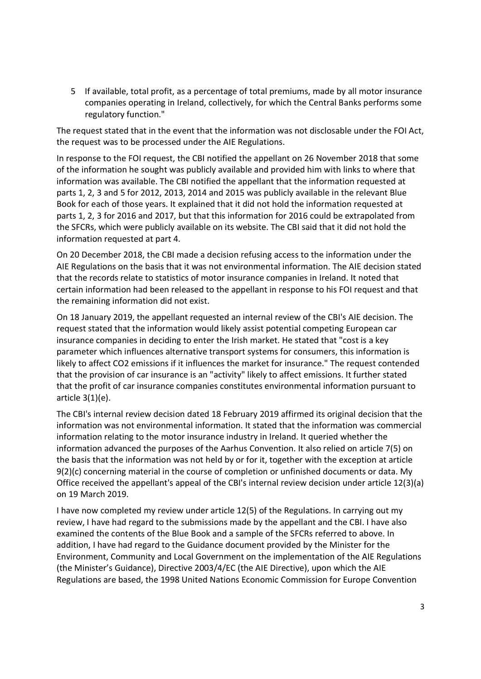5 If available, total profit, as a percentage of total premiums, made by all motor insurance companies operating in Ireland, collectively, for which the Central Banks performs some regulatory function."

The request stated that in the event that the information was not disclosable under the FOI Act, the request was to be processed under the AIE Regulations.

In response to the FOI request, the CBI notified the appellant on 26 November 2018 that some of the information he sought was publicly available and provided him with links to where that information was available. The CBI notified the appellant that the information requested at parts 1, 2, 3 and 5 for 2012, 2013, 2014 and 2015 was publicly available in the relevant Blue Book for each of those years. It explained that it did not hold the information requested at parts 1, 2, 3 for 2016 and 2017, but that this information for 2016 could be extrapolated from the SFCRs, which were publicly available on its website. The CBI said that it did not hold the information requested at part 4.

On 20 December 2018, the CBI made a decision refusing access to the information under the AIE Regulations on the basis that it was not environmental information. The AIE decision stated that the records relate to statistics of motor insurance companies in Ireland. It noted that certain information had been released to the appellant in response to his FOI request and that the remaining information did not exist.

On 18 January 2019, the appellant requested an internal review of the CBI's AIE decision. The request stated that the information would likely assist potential competing European car insurance companies in deciding to enter the Irish market. He stated that "cost is a key parameter which influences alternative transport systems for consumers, this information is likely to affect CO2 emissions if it influences the market for insurance." The request contended that the provision of car insurance is an "activity" likely to affect emissions. It further stated that the profit of car insurance companies constitutes environmental information pursuant to article 3(1)(e).

The CBI's internal review decision dated 18 February 2019 affirmed its original decision that the information was not environmental information. It stated that the information was commercial information relating to the motor insurance industry in Ireland. It queried whether the information advanced the purposes of the Aarhus Convention. It also relied on article 7(5) on the basis that the information was not held by or for it, together with the exception at article 9(2)(c) concerning material in the course of completion or unfinished documents or data. My Office received the appellant's appeal of the CBI's internal review decision under article 12(3)(a) on 19 March 2019.

I have now completed my review under article 12(5) of the Regulations. In carrying out my review, I have had regard to the submissions made by the appellant and the CBI. I have also examined the contents of the Blue Book and a sample of the SFCRs referred to above. In addition, I have had regard to the Guidance document provided by the Minister for the Environment, Community and Local Government on the implementation of the AIE Regulations (the Minister's Guidance), Directive 2003/4/EC (the AIE Directive), upon which the AIE Regulations are based, the 1998 United Nations Economic Commission for Europe Convention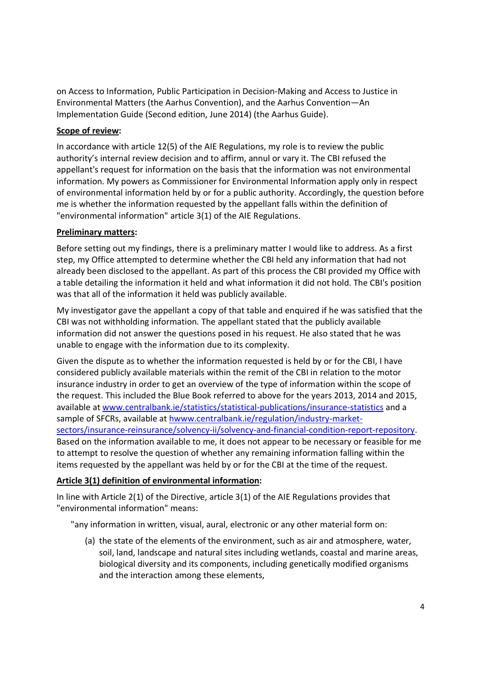on Access to Information, Public Participation in Decision-Making and Access to Justice in Environmental Matters (the Aarhus Convention), and the Aarhus Convention—An Implementation Guide (Second edition, June 2014) (the Aarhus Guide).

### Scope of review:

In accordance with article 12(5) of the AIE Regulations, my role is to review the public authority's internal review decision and to affirm, annul or vary it. The CBI refused the appellant's request for information on the basis that the information was not environmental information. My powers as Commissioner for Environmental Information apply only in respect of environmental information held by or for a public authority. Accordingly, the question before me is whether the information requested by the appellant falls within the definition of "environmental information" article 3(1) of the AIE Regulations.

# Preliminary matters:

Before setting out my findings, there is a preliminary matter I would like to address. As a first step, my Office attempted to determine whether the CBI held any information that had not already been disclosed to the appellant. As part of this process the CBI provided my Office with a table detailing the information it held and what information it did not hold. The CBI's position was that all of the information it held was publicly available.

My investigator gave the appellant a copy of that table and enquired if he was satisfied that the CBI was not withholding information. The appellant stated that the publicly available information did not answer the questions posed in his request. He also stated that he was unable to engage with the information due to its complexity.

Given the dispute as to whether the information requested is held by or for the CBI, I have considered publicly available materials within the remit of the CBI in relation to the motor insurance industry in order to get an overview of the type of information within the scope of the request. This included the Blue Book referred to above for the years 2013, 2014 and 2015, available at www.centralbank.ie/statistics/statistical-publications/insurance-statistics and a sample of SFCRs, available at hwww.centralbank.ie/regulation/industry-marketsectors/insurance-reinsurance/solvency-ii/solvency-and-financial-condition-report-repository. Based on the information available to me, it does not appear to be necessary or feasible for me to attempt to resolve the question of whether any remaining information falling within the items requested by the appellant was held by or for the CBI at the time of the request.

# Article 3(1) definition of environmental information:

In line with Article 2(1) of the Directive, article 3(1) of the AIE Regulations provides that "environmental information" means:

"any information in written, visual, aural, electronic or any other material form on:

(a) the state of the elements of the environment, such as air and atmosphere, water, soil, land, landscape and natural sites including wetlands, coastal and marine areas, biological diversity and its components, including genetically modified organisms and the interaction among these elements,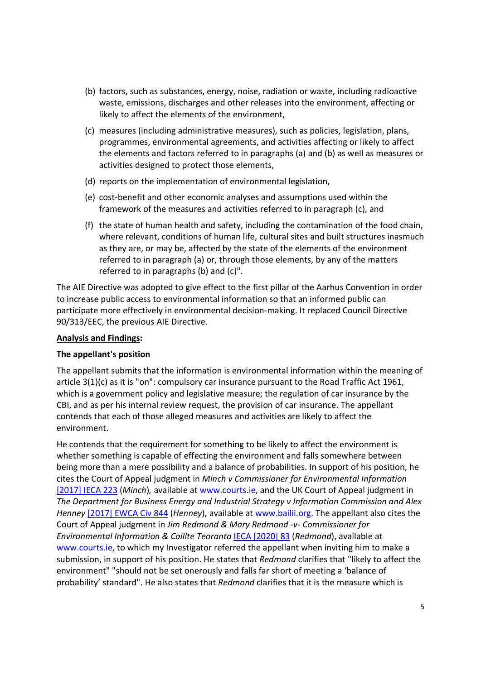- (b) factors, such as substances, energy, noise, radiation or waste, including radioactive waste, emissions, discharges and other releases into the environment, affecting or likely to affect the elements of the environment,
- (c) measures (including administrative measures), such as policies, legislation, plans, programmes, environmental agreements, and activities affecting or likely to affect the elements and factors referred to in paragraphs (a) and (b) as well as measures or activities designed to protect those elements,
- (d) reports on the implementation of environmental legislation,
- (e) cost-benefit and other economic analyses and assumptions used within the framework of the measures and activities referred to in paragraph (c), and
- (f) the state of human health and safety, including the contamination of the food chain, where relevant, conditions of human life, cultural sites and built structures inasmuch as they are, or may be, affected by the state of the elements of the environment referred to in paragraph (a) or, through those elements, by any of the matters referred to in paragraphs (b) and (c)".

The AIE Directive was adopted to give effect to the first pillar of the Aarhus Convention in order to increase public access to environmental information so that an informed public can participate more effectively in environmental decision-making. It replaced Council Directive 90/313/EEC, the previous AIE Directive.

### Analysis and Findings:

#### The appellant's position

The appellant submits that the information is environmental information within the meaning of article 3(1)(c) as it is "on": compulsory car insurance pursuant to the Road Traffic Act 1961, which is a government policy and legislative measure; the regulation of car insurance by the CBI, and as per his internal review request, the provision of car insurance. The appellant contends that each of those alleged measures and activities are likely to affect the environment.

He contends that the requirement for something to be likely to affect the environment is whether something is capable of effecting the environment and falls somewhere between being more than a mere possibility and a balance of probabilities. In support of his position, he cites the Court of Appeal judgment in Minch v Commissioner for Environmental Information [2017] IECA 223 (Minch), available at www.courts.ie, and the UK Court of Appeal judgment in The Department for Business Energy and Industrial Strategy v Information Commission and Alex Henney [2017] EWCA Civ 844 (Henney), available at www.bailii.org. The appellant also cites the Court of Appeal judgment in Jim Redmond & Mary Redmond -v- Commissioner for Environmental Information & Coillte Teoranta IECA [2020] 83 (Redmond), available at www.courts.ie, to which my Investigator referred the appellant when inviting him to make a submission, in support of his position. He states that Redmond clarifies that "likely to affect the environment" "should not be set onerously and falls far short of meeting a 'balance of probability' standard". He also states that Redmond clarifies that it is the measure which is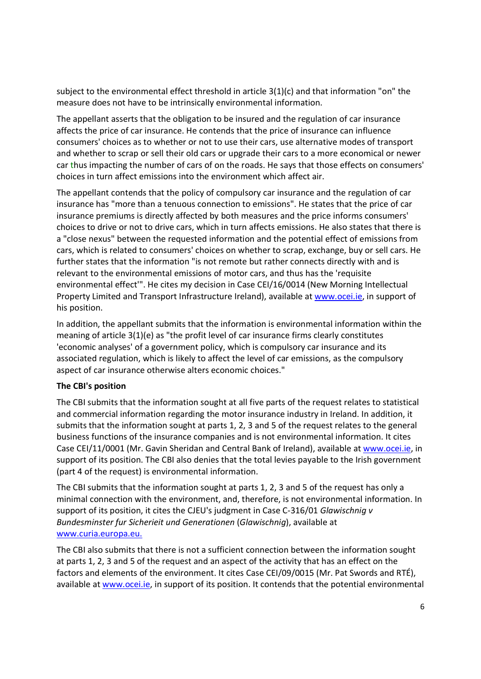subject to the environmental effect threshold in article 3(1)(c) and that information "on" the measure does not have to be intrinsically environmental information.

The appellant asserts that the obligation to be insured and the regulation of car insurance affects the price of car insurance. He contends that the price of insurance can influence consumers' choices as to whether or not to use their cars, use alternative modes of transport and whether to scrap or sell their old cars or upgrade their cars to a more economical or newer car thus impacting the number of cars of on the roads. He says that those effects on consumers' choices in turn affect emissions into the environment which affect air.

The appellant contends that the policy of compulsory car insurance and the regulation of car insurance has "more than a tenuous connection to emissions". He states that the price of car insurance premiums is directly affected by both measures and the price informs consumers' choices to drive or not to drive cars, which in turn affects emissions. He also states that there is a "close nexus" between the requested information and the potential effect of emissions from cars, which is related to consumers' choices on whether to scrap, exchange, buy or sell cars. He further states that the information "is not remote but rather connects directly with and is relevant to the environmental emissions of motor cars, and thus has the 'requisite environmental effect'". He cites my decision in Case CEI/16/0014 (New Morning Intellectual Property Limited and Transport Infrastructure Ireland), available at www.ocei.ie, in support of his position.

In addition, the appellant submits that the information is environmental information within the meaning of article 3(1)(e) as "the profit level of car insurance firms clearly constitutes 'economic analyses' of a government policy, which is compulsory car insurance and its associated regulation, which is likely to affect the level of car emissions, as the compulsory aspect of car insurance otherwise alters economic choices."

#### The CBI's position

The CBI submits that the information sought at all five parts of the request relates to statistical and commercial information regarding the motor insurance industry in Ireland. In addition, it submits that the information sought at parts 1, 2, 3 and 5 of the request relates to the general business functions of the insurance companies and is not environmental information. It cites Case CEI/11/0001 (Mr. Gavin Sheridan and Central Bank of Ireland), available at www.ocei.ie, in support of its position. The CBI also denies that the total levies payable to the Irish government (part 4 of the request) is environmental information.

The CBI submits that the information sought at parts 1, 2, 3 and 5 of the request has only a minimal connection with the environment, and, therefore, is not environmental information. In support of its position, it cites the CJEU's judgment in Case C-316/01 Glawischnig v Bundesminster fur Sicherieit und Generationen (Glawischnig), available at www.curia.europa.eu.

The CBI also submits that there is not a sufficient connection between the information sought at parts 1, 2, 3 and 5 of the request and an aspect of the activity that has an effect on the factors and elements of the environment. It cites Case CEI/09/0015 (Mr. Pat Swords and RTÉ), available at www.ocei.ie, in support of its position. It contends that the potential environmental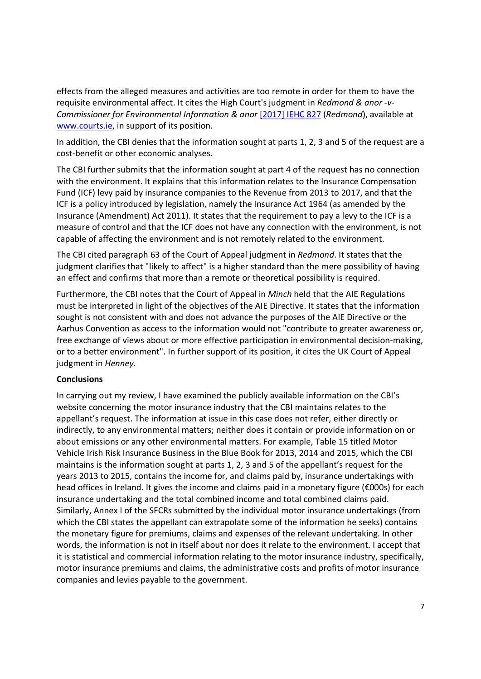effects from the alleged measures and activities are too remote in order for them to have the requisite environmental affect. It cites the High Court's judgment in Redmond & anor -v-Commissioner for Environmental Information & anor [2017] IEHC 827 (Redmond), available at www.courts.ie, in support of its position.

In addition, the CBI denies that the information sought at parts 1, 2, 3 and 5 of the request are a cost-benefit or other economic analyses.

The CBI further submits that the information sought at part 4 of the request has no connection with the environment. It explains that this information relates to the Insurance Compensation Fund (ICF) levy paid by insurance companies to the Revenue from 2013 to 2017, and that the ICF is a policy introduced by legislation, namely the Insurance Act 1964 (as amended by the Insurance (Amendment) Act 2011). It states that the requirement to pay a levy to the ICF is a measure of control and that the ICF does not have any connection with the environment, is not capable of affecting the environment and is not remotely related to the environment.

The CBI cited paragraph 63 of the Court of Appeal judgment in Redmond. It states that the judgment clarifies that "likely to affect" is a higher standard than the mere possibility of having an effect and confirms that more than a remote or theoretical possibility is required.

Furthermore, the CBI notes that the Court of Appeal in Minch held that the AIE Regulations must be interpreted in light of the objectives of the AIE Directive. It states that the information sought is not consistent with and does not advance the purposes of the AIE Directive or the Aarhus Convention as access to the information would not "contribute to greater awareness or, free exchange of views about or more effective participation in environmental decision-making, or to a better environment". In further support of its position, it cites the UK Court of Appeal judgment in Henney.

#### Conclusions

In carrying out my review, I have examined the publicly available information on the CBI's website concerning the motor insurance industry that the CBI maintains relates to the appellant's request. The information at issue in this case does not refer, either directly or indirectly, to any environmental matters; neither does it contain or provide information on or about emissions or any other environmental matters. For example, Table 15 titled Motor Vehicle Irish Risk Insurance Business in the Blue Book for 2013, 2014 and 2015, which the CBI maintains is the information sought at parts 1, 2, 3 and 5 of the appellant's request for the years 2013 to 2015, contains the income for, and claims paid by, insurance undertakings with head offices in Ireland. It gives the income and claims paid in a monetary figure (€000s) for each insurance undertaking and the total combined income and total combined claims paid. Similarly, Annex I of the SFCRs submitted by the individual motor insurance undertakings (from which the CBI states the appellant can extrapolate some of the information he seeks) contains the monetary figure for premiums, claims and expenses of the relevant undertaking. In other words, the information is not in itself about nor does it relate to the environment. I accept that it is statistical and commercial information relating to the motor insurance industry, specifically, motor insurance premiums and claims, the administrative costs and profits of motor insurance companies and levies payable to the government.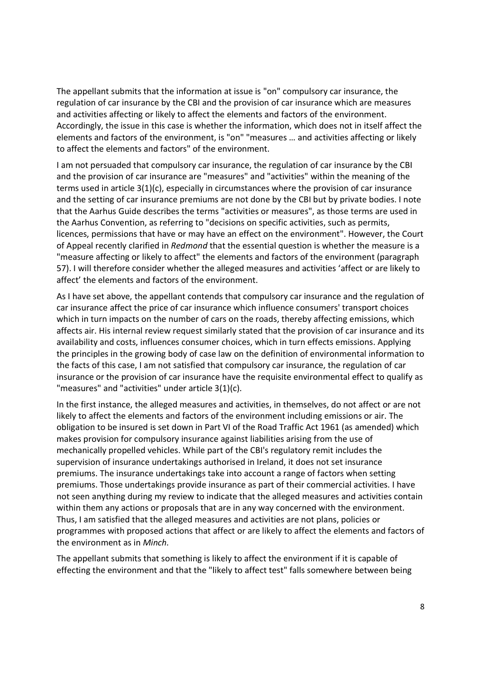The appellant submits that the information at issue is "on" compulsory car insurance, the regulation of car insurance by the CBI and the provision of car insurance which are measures and activities affecting or likely to affect the elements and factors of the environment. Accordingly, the issue in this case is whether the information, which does not in itself affect the elements and factors of the environment, is "on" "measures … and activities affecting or likely to affect the elements and factors" of the environment.

I am not persuaded that compulsory car insurance, the regulation of car insurance by the CBI and the provision of car insurance are "measures" and "activities" within the meaning of the terms used in article 3(1)(c), especially in circumstances where the provision of car insurance and the setting of car insurance premiums are not done by the CBI but by private bodies. I note that the Aarhus Guide describes the terms "activities or measures", as those terms are used in the Aarhus Convention, as referring to "decisions on specific activities, such as permits, licences, permissions that have or may have an effect on the environment". However, the Court of Appeal recently clarified in Redmond that the essential question is whether the measure is a "measure affecting or likely to affect" the elements and factors of the environment (paragraph 57). I will therefore consider whether the alleged measures and activities 'affect or are likely to affect' the elements and factors of the environment.

As I have set above, the appellant contends that compulsory car insurance and the regulation of car insurance affect the price of car insurance which influence consumers' transport choices which in turn impacts on the number of cars on the roads, thereby affecting emissions, which affects air. His internal review request similarly stated that the provision of car insurance and its availability and costs, influences consumer choices, which in turn effects emissions. Applying the principles in the growing body of case law on the definition of environmental information to the facts of this case, I am not satisfied that compulsory car insurance, the regulation of car insurance or the provision of car insurance have the requisite environmental effect to qualify as "measures" and "activities" under article 3(1)(c).

In the first instance, the alleged measures and activities, in themselves, do not affect or are not likely to affect the elements and factors of the environment including emissions or air. The obligation to be insured is set down in Part VI of the Road Traffic Act 1961 (as amended) which makes provision for compulsory insurance against liabilities arising from the use of mechanically propelled vehicles. While part of the CBI's regulatory remit includes the supervision of insurance undertakings authorised in Ireland, it does not set insurance premiums. The insurance undertakings take into account a range of factors when setting premiums. Those undertakings provide insurance as part of their commercial activities. I have not seen anything during my review to indicate that the alleged measures and activities contain within them any actions or proposals that are in any way concerned with the environment. Thus, I am satisfied that the alleged measures and activities are not plans, policies or programmes with proposed actions that affect or are likely to affect the elements and factors of the environment as in Minch.

The appellant submits that something is likely to affect the environment if it is capable of effecting the environment and that the "likely to affect test" falls somewhere between being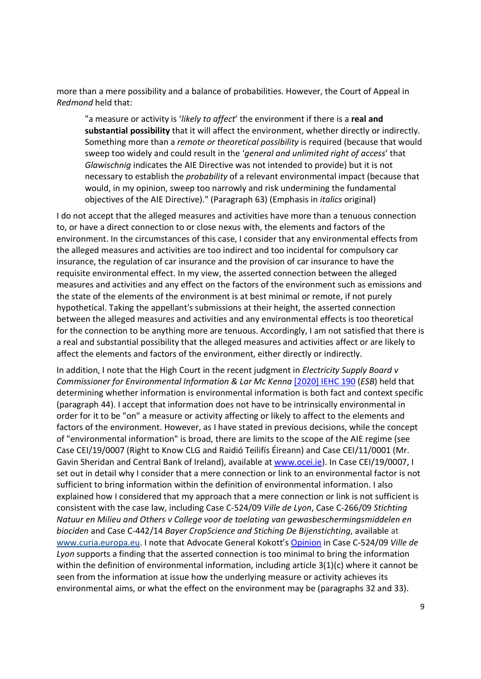more than a mere possibility and a balance of probabilities. However, the Court of Appeal in Redmond held that:

"a measure or activity is 'likely to affect' the environment if there is a real and substantial possibility that it will affect the environment, whether directly or indirectly. Something more than a remote or theoretical possibility is required (because that would sweep too widely and could result in the 'general and unlimited right of access' that Glawischnig indicates the AIE Directive was not intended to provide) but it is not necessary to establish the probability of a relevant environmental impact (because that would, in my opinion, sweep too narrowly and risk undermining the fundamental objectives of the AIE Directive)." (Paragraph 63) (Emphasis in italics original)

I do not accept that the alleged measures and activities have more than a tenuous connection to, or have a direct connection to or close nexus with, the elements and factors of the environment. In the circumstances of this case, I consider that any environmental effects from the alleged measures and activities are too indirect and too incidental for compulsory car insurance, the regulation of car insurance and the provision of car insurance to have the requisite environmental effect. In my view, the asserted connection between the alleged measures and activities and any effect on the factors of the environment such as emissions and the state of the elements of the environment is at best minimal or remote, if not purely hypothetical. Taking the appellant's submissions at their height, the asserted connection between the alleged measures and activities and any environmental effects is too theoretical for the connection to be anything more are tenuous. Accordingly, I am not satisfied that there is a real and substantial possibility that the alleged measures and activities affect or are likely to affect the elements and factors of the environment, either directly or indirectly.

In addition, I note that the High Court in the recent judgment in *Electricity Supply Board v* Commissioner for Environmental Information & Lar Mc Kenna [2020] IEHC 190 (ESB) held that determining whether information is environmental information is both fact and context specific (paragraph 44). I accept that information does not have to be intrinsically environmental in order for it to be "on" a measure or activity affecting or likely to affect to the elements and factors of the environment. However, as I have stated in previous decisions, while the concept of "environmental information" is broad, there are limits to the scope of the AIE regime (see Case CEI/19/0007 (Right to Know CLG and Raidió Teilifís Éireann) and Case CEI/11/0001 (Mr. Gavin Sheridan and Central Bank of Ireland), available at www.ocei.ie). In Case CEI/19/0007, I set out in detail why I consider that a mere connection or link to an environmental factor is not sufficient to bring information within the definition of environmental information. I also explained how I considered that my approach that a mere connection or link is not sufficient is consistent with the case law, including Case C-524/09 Ville de Lyon, Case C-266/09 Stichting Natuur en Milieu and Others v College voor de toelating van gewasbeschermingsmiddelen en biociden and Case C-442/14 Bayer CropScience and Stiching De Bijenstichting, available at www.curia.europa.eu. I note that Advocate General Kokott's Opinion in Case C-524/09 Ville de Lyon supports a finding that the asserted connection is too minimal to bring the information within the definition of environmental information, including article 3(1)(c) where it cannot be seen from the information at issue how the underlying measure or activity achieves its environmental aims, or what the effect on the environment may be (paragraphs 32 and 33).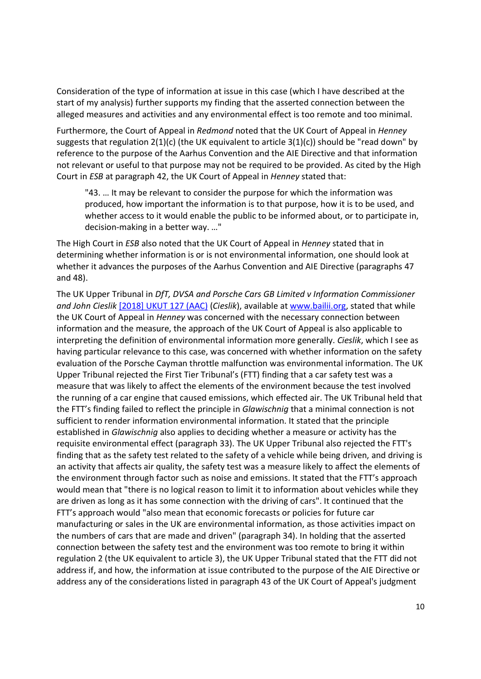Consideration of the type of information at issue in this case (which I have described at the start of my analysis) further supports my finding that the asserted connection between the alleged measures and activities and any environmental effect is too remote and too minimal.

Furthermore, the Court of Appeal in Redmond noted that the UK Court of Appeal in Henney suggests that regulation  $2(1)(c)$  (the UK equivalent to article  $3(1)(c)$ ) should be "read down" by reference to the purpose of the Aarhus Convention and the AIE Directive and that information not relevant or useful to that purpose may not be required to be provided. As cited by the High Court in ESB at paragraph 42, the UK Court of Appeal in Henney stated that:

"43. … It may be relevant to consider the purpose for which the information was produced, how important the information is to that purpose, how it is to be used, and whether access to it would enable the public to be informed about, or to participate in, decision-making in a better way. …"

The High Court in ESB also noted that the UK Court of Appeal in Henney stated that in determining whether information is or is not environmental information, one should look at whether it advances the purposes of the Aarhus Convention and AIE Directive (paragraphs 47 and 48).

The UK Upper Tribunal in DfT, DVSA and Porsche Cars GB Limited v Information Commissioner and John Cieslik [2018] UKUT 127 (AAC) (Cieslik), available at www.bailii.org, stated that while the UK Court of Appeal in Henney was concerned with the necessary connection between information and the measure, the approach of the UK Court of Appeal is also applicable to interpreting the definition of environmental information more generally. Cieslik, which I see as having particular relevance to this case, was concerned with whether information on the safety evaluation of the Porsche Cayman throttle malfunction was environmental information. The UK Upper Tribunal rejected the First Tier Tribunal's (FTT) finding that a car safety test was a measure that was likely to affect the elements of the environment because the test involved the running of a car engine that caused emissions, which effected air. The UK Tribunal held that the FTT's finding failed to reflect the principle in Glawischnig that a minimal connection is not sufficient to render information environmental information. It stated that the principle established in Glawischnig also applies to deciding whether a measure or activity has the requisite environmental effect (paragraph 33). The UK Upper Tribunal also rejected the FTT's finding that as the safety test related to the safety of a vehicle while being driven, and driving is an activity that affects air quality, the safety test was a measure likely to affect the elements of the environment through factor such as noise and emissions. It stated that the FTT's approach would mean that "there is no logical reason to limit it to information about vehicles while they are driven as long as it has some connection with the driving of cars". It continued that the FTT's approach would "also mean that economic forecasts or policies for future car manufacturing or sales in the UK are environmental information, as those activities impact on the numbers of cars that are made and driven" (paragraph 34). In holding that the asserted connection between the safety test and the environment was too remote to bring it within regulation 2 (the UK equivalent to article 3), the UK Upper Tribunal stated that the FTT did not address if, and how, the information at issue contributed to the purpose of the AIE Directive or address any of the considerations listed in paragraph 43 of the UK Court of Appeal's judgment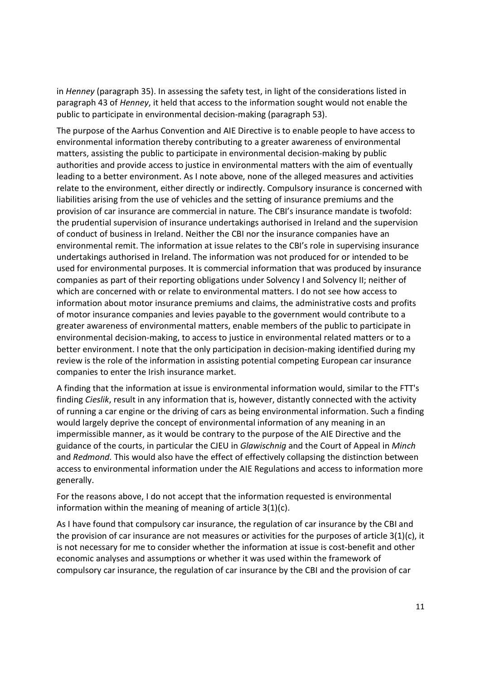in Henney (paragraph 35). In assessing the safety test, in light of the considerations listed in paragraph 43 of Henney, it held that access to the information sought would not enable the public to participate in environmental decision-making (paragraph 53).

The purpose of the Aarhus Convention and AIE Directive is to enable people to have access to environmental information thereby contributing to a greater awareness of environmental matters, assisting the public to participate in environmental decision-making by public authorities and provide access to justice in environmental matters with the aim of eventually leading to a better environment. As I note above, none of the alleged measures and activities relate to the environment, either directly or indirectly. Compulsory insurance is concerned with liabilities arising from the use of vehicles and the setting of insurance premiums and the provision of car insurance are commercial in nature. The CBI's insurance mandate is twofold: the prudential supervision of insurance undertakings authorised in Ireland and the supervision of conduct of business in Ireland. Neither the CBI nor the insurance companies have an environmental remit. The information at issue relates to the CBI's role in supervising insurance undertakings authorised in Ireland. The information was not produced for or intended to be used for environmental purposes. It is commercial information that was produced by insurance companies as part of their reporting obligations under Solvency I and Solvency II; neither of which are concerned with or relate to environmental matters. I do not see how access to information about motor insurance premiums and claims, the administrative costs and profits of motor insurance companies and levies payable to the government would contribute to a greater awareness of environmental matters, enable members of the public to participate in environmental decision-making, to access to justice in environmental related matters or to a better environment. I note that the only participation in decision-making identified during my review is the role of the information in assisting potential competing European car insurance companies to enter the Irish insurance market.

A finding that the information at issue is environmental information would, similar to the FTT's finding Cieslik, result in any information that is, however, distantly connected with the activity of running a car engine or the driving of cars as being environmental information. Such a finding would largely deprive the concept of environmental information of any meaning in an impermissible manner, as it would be contrary to the purpose of the AIE Directive and the guidance of the courts, in particular the CJEU in Glawischnig and the Court of Appeal in Minch and Redmond. This would also have the effect of effectively collapsing the distinction between access to environmental information under the AIE Regulations and access to information more generally.

For the reasons above, I do not accept that the information requested is environmental information within the meaning of meaning of article 3(1)(c).

As I have found that compulsory car insurance, the regulation of car insurance by the CBI and the provision of car insurance are not measures or activities for the purposes of article 3(1)(c), it is not necessary for me to consider whether the information at issue is cost-benefit and other economic analyses and assumptions or whether it was used within the framework of compulsory car insurance, the regulation of car insurance by the CBI and the provision of car